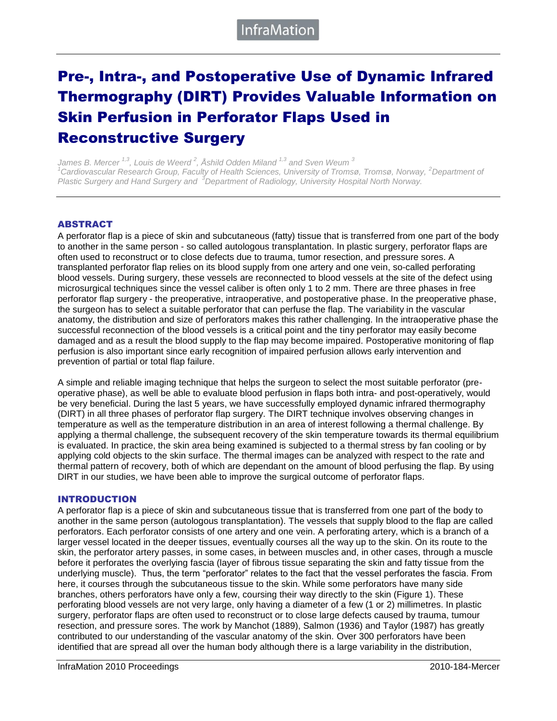# Pre-, Intra-, and Postoperative Use of Dynamic Infrared Thermography (DIRT) Provides Valuable Information on Skin Perfusion in Perforator Flaps Used in Reconstructive Surgery

*James B. Mercer 1,3, Louis de Weerd <sup>2</sup> , Åshild Odden Miland 1,3 and Sven Weum <sup>3</sup> <sup>1</sup>Cardiovascular Research Group, Faculty of Health Sciences, University of Tromsø, Tromsø, Norway, <sup>2</sup>Department of Plastic Surgery and Hand Surgery and <sup>3</sup>Department of Radiology, University Hospital North Norway.*

#### ABSTRACT

A perforator flap is a piece of skin and subcutaneous (fatty) tissue that is transferred from one part of the body to another in the same person - so called autologous transplantation. In plastic surgery, perforator flaps are often used to reconstruct or to close defects due to trauma, tumor resection, and pressure sores. A transplanted perforator flap relies on its blood supply from one artery and one vein, so-called perforating blood vessels. During surgery, these vessels are reconnected to blood vessels at the site of the defect using microsurgical techniques since the vessel caliber is often only 1 to 2 mm. There are three phases in free perforator flap surgery - the preoperative, intraoperative, and postoperative phase. In the preoperative phase, the surgeon has to select a suitable perforator that can perfuse the flap. The variability in the vascular anatomy, the distribution and size of perforators makes this rather challenging. In the intraoperative phase the successful reconnection of the blood vessels is a critical point and the tiny perforator may easily become damaged and as a result the blood supply to the flap may become impaired. Postoperative monitoring of flap perfusion is also important since early recognition of impaired perfusion allows early intervention and prevention of partial or total flap failure.

A simple and reliable imaging technique that helps the surgeon to select the most suitable perforator (preoperative phase), as well be able to evaluate blood perfusion in flaps both intra- and post-operatively, would be very beneficial. During the last 5 years, we have successfully employed dynamic infrared thermography (DIRT) in all three phases of perforator flap surgery. The DIRT technique involves observing changes in temperature as well as the temperature distribution in an area of interest following a thermal challenge. By applying a thermal challenge, the subsequent recovery of the skin temperature towards its thermal equilibrium is evaluated. In practice, the skin area being examined is subjected to a thermal stress by fan cooling or by applying cold objects to the skin surface. The thermal images can be analyzed with respect to the rate and thermal pattern of recovery, both of which are dependant on the amount of blood perfusing the flap. By using DIRT in our studies, we have been able to improve the surgical outcome of perforator flaps.

#### INTRODUCTION

A perforator flap is a piece of skin and subcutaneous tissue that is transferred from one part of the body to another in the same person (autologous transplantation). The vessels that supply blood to the flap are called perforators. Each perforator consists of one artery and one vein. A perforating artery, which is a branch of a larger vessel located in the deeper tissues, eventually courses all the way up to the skin. On its route to the skin, the perforator artery passes, in some cases, in between muscles and, in other cases, through a muscle before it perforates the overlying fascia (layer of fibrous tissue separating the skin and fatty tissue from the underlying muscle). Thus, the term "perforator" relates to the fact that the vessel perforates the fascia. From here, it courses through the subcutaneous tissue to the skin. While some perforators have many side branches, others perforators have only a few, coursing their way directly to the skin (Figure 1). These perforating blood vessels are not very large, only having a diameter of a few (1 or 2) millimetres. In plastic surgery, perforator flaps are often used to reconstruct or to close large defects caused by trauma, tumour resection, and pressure sores. The work by Manchot (1889), Salmon (1936) and Taylor (1987) has greatly contributed to our understanding of the vascular anatomy of the skin. Over 300 perforators have been identified that are spread all over the human body although there is a large variability in the distribution,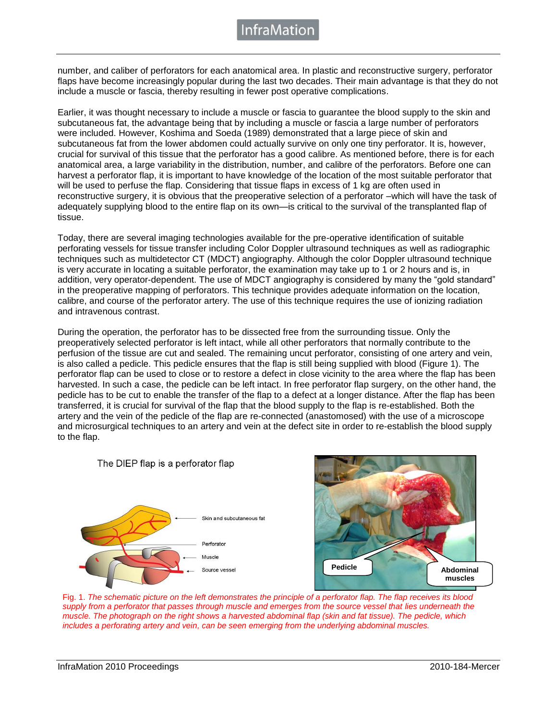number, and caliber of perforators for each anatomical area. In plastic and reconstructive surgery, perforator flaps have become increasingly popular during the last two decades. Their main advantage is that they do not include a muscle or fascia, thereby resulting in fewer post operative complications.

Earlier, it was thought necessary to include a muscle or fascia to guarantee the blood supply to the skin and subcutaneous fat, the advantage being that by including a muscle or fascia a large number of perforators were included. However, Koshima and Soeda (1989) demonstrated that a large piece of skin and subcutaneous fat from the lower abdomen could actually survive on only one tiny perforator. It is, however, crucial for survival of this tissue that the perforator has a good calibre. As mentioned before, there is for each anatomical area, a large variability in the distribution, number, and calibre of the perforators. Before one can harvest a perforator flap, it is important to have knowledge of the location of the most suitable perforator that will be used to perfuse the flap. Considering that tissue flaps in excess of 1 kg are often used in reconstructive surgery, it is obvious that the preoperative selection of a perforator –which will have the task of adequately supplying blood to the entire flap on its own—is critical to the survival of the transplanted flap of tissue.

Today, there are several imaging technologies available for the pre-operative identification of suitable perforating vessels for tissue transfer including Color Doppler ultrasound techniques as well as radiographic techniques such as multidetector CT (MDCT) angiography. Although the color Doppler ultrasound technique is very accurate in locating a suitable perforator, the examination may take up to 1 or 2 hours and is, in addition, very operator-dependent. The use of MDCT angiography is considered by many the "gold standard" in the preoperative mapping of perforators. This technique provides adequate information on the location, calibre, and course of the perforator artery. The use of this technique requires the use of ionizing radiation and intravenous contrast.

During the operation, the perforator has to be dissected free from the surrounding tissue. Only the preoperatively selected perforator is left intact, while all other perforators that normally contribute to the perfusion of the tissue are cut and sealed. The remaining uncut perforator, consisting of one artery and vein, is also called a pedicle. This pedicle ensures that the flap is still being supplied with blood (Figure 1). The perforator flap can be used to close or to restore a defect in close vicinity to the area where the flap has been harvested. In such a case, the pedicle can be left intact. In free perforator flap surgery, on the other hand, the pedicle has to be cut to enable the transfer of the flap to a defect at a longer distance. After the flap has been transferred, it is crucial for survival of the flap that the blood supply to the flap is re-established. Both the artery and the vein of the pedicle of the flap are re-connected (anastomosed) with the use of a microscope and microsurgical techniques to an artery and vein at the defect site in order to re-establish the blood supply to the flap.



The DIEP flap is a perforator flap



Fig. 1. *The schematic picture on the left demonstrates the principle of a perforator flap. The flap receives its blood supply from a perforator that passes through muscle and emerges from the source vessel that lies underneath the muscle. The photograph on the right shows a harvested abdominal flap (skin and fat tissue). The pedicle, which includes a perforating artery and vein, can be seen emerging from the underlying abdominal muscles.*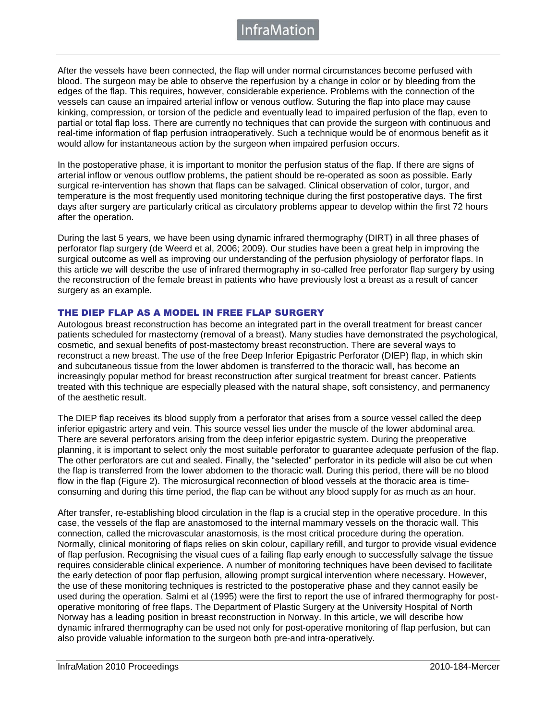nfraMatior

After the vessels have been connected, the flap will under normal circumstances become perfused with blood. The surgeon may be able to observe the reperfusion by a change in color or by bleeding from the edges of the flap. This requires, however, considerable experience. Problems with the connection of the vessels can cause an impaired arterial inflow or venous outflow. Suturing the flap into place may cause kinking, compression, or torsion of the pedicle and eventually lead to impaired perfusion of the flap, even to partial or total flap loss. There are currently no techniques that can provide the surgeon with continuous and real-time information of flap perfusion intraoperatively. Such a technique would be of enormous benefit as it would allow for instantaneous action by the surgeon when impaired perfusion occurs.

In the postoperative phase, it is important to monitor the perfusion status of the flap. If there are signs of arterial inflow or venous outflow problems, the patient should be re-operated as soon as possible. Early surgical re-intervention has shown that flaps can be salvaged. Clinical observation of color, turgor, and temperature is the most frequently used monitoring technique during the first postoperative days. The first days after surgery are particularly critical as circulatory problems appear to develop within the first 72 hours after the operation.

During the last 5 years, we have been using dynamic infrared thermography (DIRT) in all three phases of perforator flap surgery (de Weerd et al, 2006; 2009). Our studies have been a great help in improving the surgical outcome as well as improving our understanding of the perfusion physiology of perforator flaps. In this article we will describe the use of infrared thermography in so-called free perforator flap surgery by using the reconstruction of the female breast in patients who have previously lost a breast as a result of cancer surgery as an example.

#### THE DIEP FLAP AS A MODEL IN FREE FLAP SURGERY

Autologous breast reconstruction has become an integrated part in the overall treatment for breast cancer patients scheduled for mastectomy (removal of a breast). Many studies have demonstrated the psychological, cosmetic, and sexual benefits of post-mastectomy breast reconstruction. There are several ways to reconstruct a new breast. The use of the free Deep Inferior Epigastric Perforator (DIEP) flap, in which skin and subcutaneous tissue from the lower abdomen is transferred to the thoracic wall, has become an increasingly popular method for breast reconstruction after surgical treatment for breast cancer. Patients treated with this technique are especially pleased with the natural shape, soft consistency, and permanency of the aesthetic result.

The DIEP flap receives its blood supply from a perforator that arises from a source vessel called the deep inferior epigastric artery and vein. This source vessel lies under the muscle of the lower abdominal area. There are several perforators arising from the deep inferior epigastric system. During the preoperative planning, it is important to select only the most suitable perforator to guarantee adequate perfusion of the flap. The other perforators are cut and sealed. Finally, the "selected" perforator in its pedicle will also be cut when the flap is transferred from the lower abdomen to the thoracic wall. During this period, there will be no blood flow in the flap (Figure 2). The microsurgical reconnection of blood vessels at the thoracic area is timeconsuming and during this time period, the flap can be without any blood supply for as much as an hour.

After transfer, re-establishing blood circulation in the flap is a crucial step in the operative procedure. In this case, the vessels of the flap are anastomosed to the internal mammary vessels on the thoracic wall. This connection, called the microvascular anastomosis, is the most critical procedure during the operation. Normally, clinical monitoring of flaps relies on skin colour, capillary refill, and turgor to provide visual evidence of flap perfusion. Recognising the visual cues of a failing flap early enough to successfully salvage the tissue requires considerable clinical experience. A number of monitoring techniques have been devised to facilitate the early detection of poor flap perfusion, allowing prompt surgical intervention where necessary. However, the use of these monitoring techniques is restricted to the postoperative phase and they cannot easily be used during the operation. Salmi et al (1995) were the first to report the use of infrared thermography for postoperative monitoring of free flaps. The Department of Plastic Surgery at the University Hospital of North Norway has a leading position in breast reconstruction in Norway. In this article, we will describe how dynamic infrared thermography can be used not only for post-operative monitoring of flap perfusion, but can also provide valuable information to the surgeon both pre-and intra-operatively.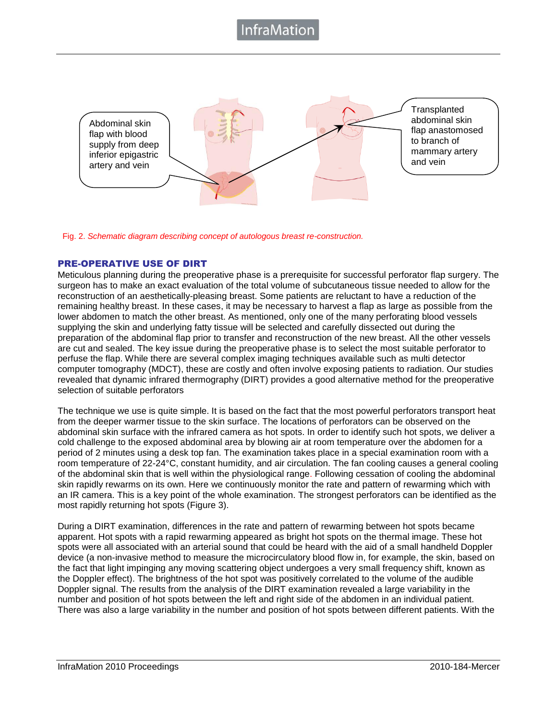### าfraMatio



Fig. 2. *Schematic diagram describing concept of autologous breast re-construction.*

#### PRE-OPERATIVE USE OF DIRT

Meticulous planning during the preoperative phase is a prerequisite for successful perforator flap surgery. The surgeon has to make an exact evaluation of the total volume of subcutaneous tissue needed to allow for the reconstruction of an aesthetically-pleasing breast. Some patients are reluctant to have a reduction of the remaining healthy breast. In these cases, it may be necessary to harvest a flap as large as possible from the lower abdomen to match the other breast. As mentioned, only one of the many perforating blood vessels supplying the skin and underlying fatty tissue will be selected and carefully dissected out during the preparation of the abdominal flap prior to transfer and reconstruction of the new breast. All the other vessels are cut and sealed. The key issue during the preoperative phase is to select the most suitable perforator to perfuse the flap. While there are several complex imaging techniques available such as multi detector computer tomography (MDCT), these are costly and often involve exposing patients to radiation. Our studies revealed that dynamic infrared thermography (DIRT) provides a good alternative method for the preoperative selection of suitable perforators

The technique we use is quite simple. It is based on the fact that the most powerful perforators transport heat from the deeper warmer tissue to the skin surface. The locations of perforators can be observed on the abdominal skin surface with the infrared camera as hot spots. In order to identify such hot spots, we deliver a cold challenge to the exposed abdominal area by blowing air at room temperature over the abdomen for a period of 2 minutes using a desk top fan. The examination takes place in a special examination room with a room temperature of 22-24°C, constant humidity, and air circulation. The fan cooling causes a general cooling of the abdominal skin that is well within the physiological range. Following cessation of cooling the abdominal skin rapidly rewarms on its own. Here we continuously monitor the rate and pattern of rewarming which with an IR camera. This is a key point of the whole examination. The strongest perforators can be identified as the most rapidly returning hot spots (Figure 3).

During a DIRT examination, differences in the rate and pattern of rewarming between hot spots became apparent. Hot spots with a rapid rewarming appeared as bright hot spots on the thermal image. These hot spots were all associated with an arterial sound that could be heard with the aid of a small handheld Doppler device (a non-invasive method to measure the microcirculatory blood flow in, for example, the skin, based on the fact that light impinging any moving scattering object undergoes a very small frequency shift, known as the Doppler effect). The brightness of the hot spot was positively correlated to the volume of the audible Doppler signal. The results from the analysis of the DIRT examination revealed a large variability in the number and position of hot spots between the left and right side of the abdomen in an individual patient. There was also a large variability in the number and position of hot spots between different patients. With the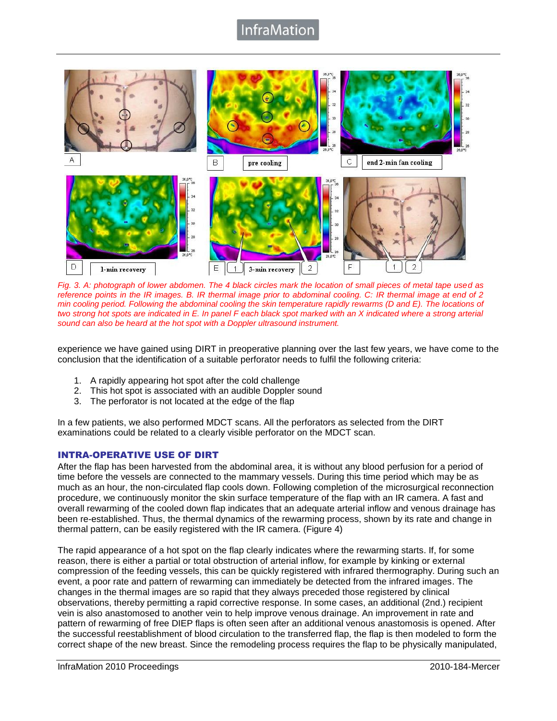### nfraMation



*Fig. 3. A: photograph of lower abdomen. The 4 black circles mark the location of small pieces of metal tape used as reference points in the IR images. B. IR thermal image prior to abdominal cooling. C: IR thermal image at end of 2 min cooling period. Following the abdominal cooling the skin temperature rapidly rewarms (D and E). The locations of two strong hot spots are indicated in E. In panel F each black spot marked with an X indicated where a strong arterial sound can also be heard at the hot spot with a Doppler ultrasound instrument.*

experience we have gained using DIRT in preoperative planning over the last few years, we have come to the conclusion that the identification of a suitable perforator needs to fulfil the following criteria:

- 1. A rapidly appearing hot spot after the cold challenge
- 2. This hot spot is associated with an audible Doppler sound
- 3. The perforator is not located at the edge of the flap

In a few patients, we also performed MDCT scans. All the perforators as selected from the DIRT examinations could be related to a clearly visible perforator on the MDCT scan.

#### INTRA-OPERATIVE USE OF DIRT

After the flap has been harvested from the abdominal area, it is without any blood perfusion for a period of time before the vessels are connected to the mammary vessels. During this time period which may be as much as an hour, the non-circulated flap cools down. Following completion of the microsurgical reconnection procedure, we continuously monitor the skin surface temperature of the flap with an IR camera. A fast and overall rewarming of the cooled down flap indicates that an adequate arterial inflow and venous drainage has been re-established. Thus, the thermal dynamics of the rewarming process, shown by its rate and change in thermal pattern, can be easily registered with the IR camera. (Figure 4)

The rapid appearance of a hot spot on the flap clearly indicates where the rewarming starts. If, for some reason, there is either a partial or total obstruction of arterial inflow, for example by kinking or external compression of the feeding vessels, this can be quickly registered with infrared thermography. During such an event, a poor rate and pattern of rewarming can immediately be detected from the infrared images. The changes in the thermal images are so rapid that they always preceded those registered by clinical observations, thereby permitting a rapid corrective response. In some cases, an additional (2nd.) recipient vein is also anastomosed to another vein to help improve venous drainage. An improvement in rate and pattern of rewarming of free DIEP flaps is often seen after an additional venous anastomosis is opened. After the successful reestablishment of blood circulation to the transferred flap, the flap is then modeled to form the correct shape of the new breast. Since the remodeling process requires the flap to be physically manipulated,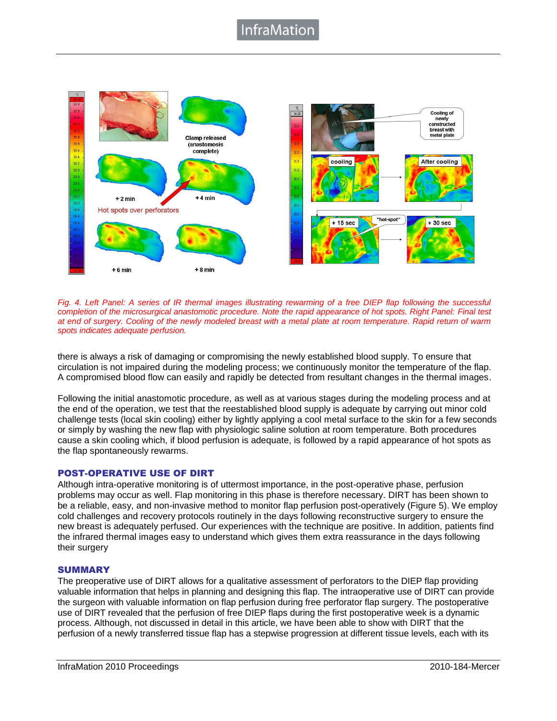

*Fig. 4. Left Panel: A series of IR thermal images illustrating rewarming of a free DIEP flap following the successful completion of the microsurgical anastomotic procedure. Note the rapid appearance of hot spots. Right Panel: Final test at end of surgery. Cooling of the newly modeled breast with a metal plate at room temperature. Rapid return of warm spots indicates adequate perfusion.*

there is always a risk of damaging or compromising the newly established blood supply. To ensure that circulation is not impaired during the modeling process; we continuously monitor the temperature of the flap. A compromised blood flow can easily and rapidly be detected from resultant changes in the thermal images.

Following the initial anastomotic procedure, as well as at various stages during the modeling process and at the end of the operation, we test that the reestablished blood supply is adequate by carrying out minor cold challenge tests (local skin cooling) either by lightly applying a cool metal surface to the skin for a few seconds or simply by washing the new flap with physiologic saline solution at room temperature. Both procedures cause a skin cooling which, if blood perfusion is adequate, is followed by a rapid appearance of hot spots as the flap spontaneously rewarms.

#### POST-OPERATIVE USE OF DIRT

Although intra-operative monitoring is of uttermost importance, in the post-operative phase, perfusion problems may occur as well. Flap monitoring in this phase is therefore necessary. DIRT has been shown to be a reliable, easy, and non-invasive method to monitor flap perfusion post-operatively (Figure 5). We employ cold challenges and recovery protocols routinely in the days following reconstructive surgery to ensure the new breast is adequately perfused. Our experiences with the technique are positive. In addition, patients find the infrared thermal images easy to understand which gives them extra reassurance in the days following their surgery

#### **SUMMARY**

The preoperative use of DIRT allows for a qualitative assessment of perforators to the DIEP flap providing valuable information that helps in planning and designing this flap. The intraoperative use of DIRT can provide the surgeon with valuable information on flap perfusion during free perforator flap surgery. The postoperative use of DIRT revealed that the perfusion of free DIEP flaps during the first postoperative week is a dynamic process. Although, not discussed in detail in this article, we have been able to show with DIRT that the perfusion of a newly transferred tissue flap has a stepwise progression at different tissue levels, each with its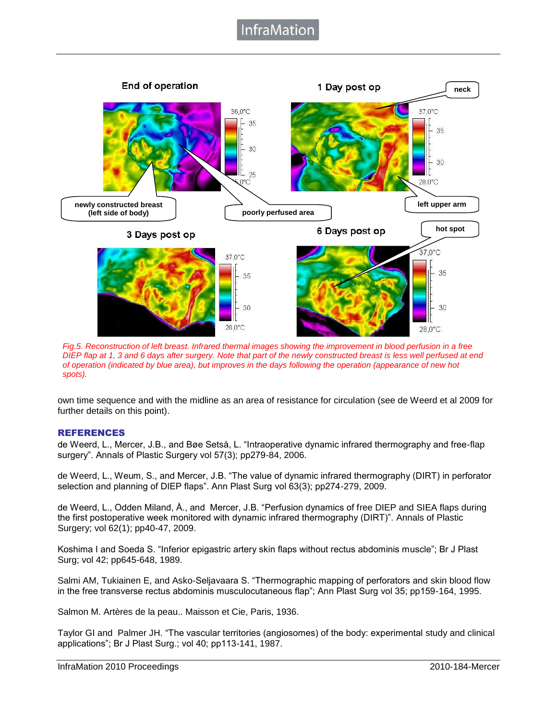## **InfraMatior**



*Fig.5. Reconstruction of left breast. Infrared thermal images showing the improvement in blood perfusion in a free DIEP flap at 1, 3 and 6 days after surgery. Note that part of the newly constructed breast is less well perfused at end of operation (indicated by blue area), but improves in the days following the operation (appearance of new hot spots).*

own time sequence and with the midline as an area of resistance for circulation (see de Weerd et al 2009 for further details on this point).

#### REFERENCES

de Weerd, L., Mercer, J.B., and Bøe Setså, L. "Intraoperative dynamic infrared thermography and free-flap surgery". Annals of Plastic Surgery vol 57(3); pp279-84, 2006.

de Weerd, L., Weum, S., and Mercer, J.B. "The value of dynamic infrared thermography (DIRT) in perforator selection and planning of DIEP flaps". Ann Plast Surg vol 63(3); pp274-279, 2009.

de Weerd, L., Odden Miland, Å., and Mercer, J.B. "Perfusion dynamics of free DIEP and SIEA flaps during the first postoperative week monitored with dynamic infrared thermography (DIRT)". Annals of Plastic Surgery; vol 62(1); pp40-47, 2009.

Koshima I and Soeda S. "Inferior epigastric artery skin flaps without rectus abdominis muscle"; Br J Plast Surg; vol 42; pp645-648, 1989.

Salmi AM, Tukiainen E, and Asko-Seljavaara S. "Thermographic mapping of perforators and skin blood flow in the free transverse rectus abdominis musculocutaneous flap"; Ann Plast Surg vol 35; pp159-164, 1995.

Salmon M. Artères de la peau.. Maisson et Cie, Paris, 1936.

Taylor GI and Palmer JH. "The vascular territories (angiosomes) of the body: experimental study and clinical applications"; Br J Plast Surg.; vol 40; pp113-141, 1987.